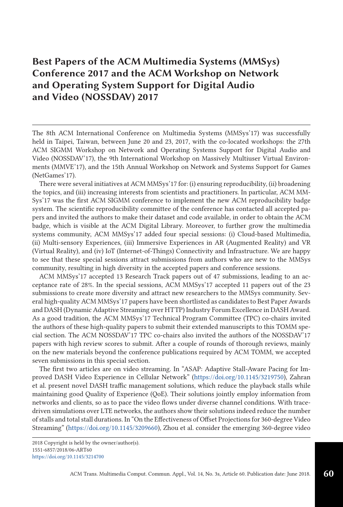## **Best Papers of the ACM Multimedia Systems (MMSys) Conference 2017 and the ACM Workshop on Network and Operating System Support for Digital Audio and Video (NOSSDAV) 2017**

The 8th ACM International Conference on Multimedia Systems (MMSys'17) was successfully held in Taipei, Taiwan, between June 20 and 23, 2017, with the co-located workshops: the 27th ACM SIGMM Workshop on Network and Operating Systems Support for Digital Audio and Video (NOSSDAV'17), the 9th International Workshop on Massively Multiuser Virtual Environments (MMVE'17), and the 15th Annual Workshop on Network and Systems Support for Games (NetGames'17).

There were several initiatives at ACM MMSys'17 for: (i) ensuring reproducibility, (ii) broadening the topics, and (iii) increasing interests from scientists and practitioners. In particular, ACM MM-Sys'17 was the first ACM SIGMM conference to implement the new ACM reproducibility badge system. The scientific reproducibility committee of the conference has contacted all accepted papers and invited the authors to make their dataset and code available, in order to obtain the ACM badge, which is visible at the ACM Digital Library. Moreover, to further grow the multimedia systems community, ACM MMSys'17 added four special sessions: (i) Cloud-based Multimedia, (ii) Multi-sensory Experiences, (iii) Immersive Experiences in AR (Augmented Reality) and VR (Virtual Reality), and (iv) IoT (Internet-of-Things) Connectivity and Infrastructure. We are happy to see that these special sessions attract submissions from authors who are new to the MMSys community, resulting in high diversity in the accepted papers and conference sessions.

ACM MMSys'17 accepted 13 Research Track papers out of 47 submissions, leading to an acceptance rate of 28%. In the special sessions, ACM MMSys'17 accepted 11 papers out of the 23 submissions to create more diversity and attract new researchers to the MMSys community. Several high-quality ACM MMSys'17 papers have been shortlisted as candidates to Best Paper Awards and DASH (Dynamic Adaptive Streaming over HTTP) Industry Forum Excellence in DASH Award. As a good tradition, the ACM MMSys'17 Technical Program Committee (TPC) co-chairs invited the authors of these high-quality papers to submit their extended manuscripts to this TOMM special section. The ACM NOSSDAV'17 TPC co-chairs also invited the authors of the NOSSDAV'17 papers with high review scores to submit. After a couple of rounds of thorough reviews, mainly on the new materials beyond the conference publications required by ACM TOMM, we accepted seven submissions in this special section.

The first two articles are on video streaming. In "ASAP: Adaptive Stall-Aware Pacing for Improved DASH Video Experience in Cellular Network" [\(https://doi.org/10.1145/3219750\)](https://doi.org/10.1145/3219750), Zahran et al. present novel DASH traffic management solutions, which reduce the playback stalls while maintaining good Quality of Experience (QoE). Their solutions jointly employ information from networks and clients, so as to pace the video flows under diverse channel conditions. With tracedriven simulations over LTE networks, the authors show their solutions indeed reduce the number of stalls and total stall durations. In "On the Effectiveness of Offset Projections for 360-degree Video Streaming" [\(https://doi.org/10.1145/3209660\)](https://doi.org/10.1145/3209660), Zhou et al. consider the emerging 360-degree video

<sup>2018</sup> Copyright is held by the owner/author(s). 1551-6857/2018/06-ART60 <https://doi.org/10.1145/3214700>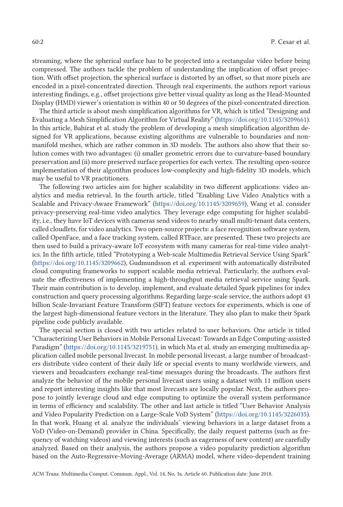streaming, where the spherical surface has to be projected into a rectangular video before being compressed. The authors tackle the problem of understanding the implication of offset projection. With offset projection, the spherical surface is distorted by an offset, so that more pixels are encoded in a pixel-concentrated direction. Through real experiments, the authors report various interesting findings, e.g., offset projections give better visual quality as long as the Head-Mounted Display (HMD) viewer's orientation is within 40 or 50 degrees of the pixel-concentrated direction.

The third article is about mesh simplification algorithms for VR, which is titled "Designing and Evaluating a Mesh Simplification Algorithm for Virtual Reality" [\(https://doi.org/10.1145/3209661\)](https://doi.org/10.1145/3209661). In this article, Bahirat et al. study the problem of developing a mesh simplification algorithm designed for VR applications, because existing algorithms are vulnerable to boundaries and nonmanifold meshes, which are rather common in 3D models. The authors also show that their solution comes with two advantages: (i) smaller geometric errors due to curvature-based boundary preservation and (ii) more preserved surface properties for each vertex. The resulting open-source implementation of their algorithm produces low-complexity and high-fidelity 3D models, which may be useful to VR practitioners.

The following two articles aim for higher scalability in two different applications: video analytics and media retrieval. In the fourth article, titled "Enabling Live Video Analytics with a Scalable and Privacy-Aware Framework" [\(https://doi.org/10.1145/3209659\)](https://doi.org/10.1145/3209659), Wang et al. consider privacy-preserving real-time video analytics. They leverage edge computing for higher scalability, i.e., they have IoT devices with cameras send videos to nearby small multi-tenant data centers, called cloudlets, for video analytics. Two open-source projects: a face recognition software system, called OpenFace, and a face tracking system, called RTFace, are presented. These two projects are then used to build a privacy-aware IoT ecosystem with many cameras for real-time video analytics. In the fifth article, titled "Prototyping a Web-scale Multimedia Retrieval Service Using Spark" [\(https://doi.org/10.1145/3209662\)](https://doi.org/10.1145/3209662), Gudmundsson et al. experiment with automatically distributed cloud computing frameworks to support scalable media retrieval. Particularly, the authors evaluate the effectiveness of implementing a high-throughput media retrieval service using Spark. Their main contribution is to develop, implement, and evaluate detailed Spark pipelines for index construction and query processing algorithms. Regarding large-scale service, the authors adopt 43 billion Scale-Invariant Feature Transform (SIFT) feature vectors for experiments, which is one of the largest high-dimensional feature vectors in the literature. They also plan to make their Spark pipeline code publicly available.

The special section is closed with two articles related to user behaviors. One article is titled "Characterizing User Behaviors in Mobile Personal Livecast: Towards an Edge Computing-assisted Paradigm" [\(https://doi.org/10.1145/3219751\)](https://doi.org/10.1145/3219751), in which Ma et al. study an emerging multimedia application called mobile personal livecast. In mobile personal livecast, a large number of broadcasters distribute video content of their daily life or special events to many worldwide viewers, and viewers and broadcasters exchange real-time messages during the broadcasts. The authors first analyze the behavior of the mobile personal livecast users using a dataset with 11 million users and report interesting insights like that most livecasts are locally popular. Next, the authors propose to jointly leverage cloud and edge computing to optimize the overall system performance in terms of efficiency and scalability. The other and last article is titled "User Behavior Analysis and Video Popularity Prediction on a Large-Scale VoD System" [\(https://doi.org/10.1145/3226035\)](https://doi.org/10.1145/3226035). In that work, Huang et al. analyze the individuals' viewing behaviors in a large dataset from a VoD (Video-on-Demand) provider in China. Specifically, the daily request patterns (such as frequency of watching videos) and viewing interests (such as eagerness of new content) are carefully analyzed. Based on their analysis, the authors propose a video popularity prediction algorithm based on the Auto-Regressive-Moving-Average (ARMA) model, where video-dependent training